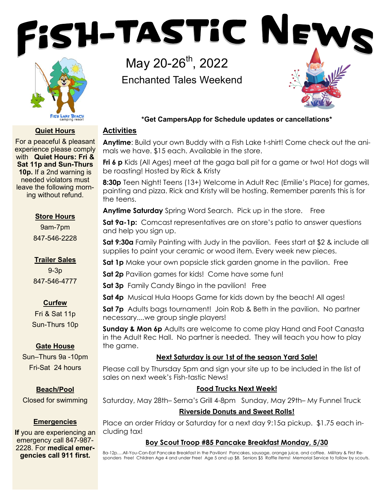



# **Quiet Hours**

For a peaceful & pleasant experience please comply with **Quiet Hours: Fri & Sat 11p and Sun-Thurs 10p.** If a 2nd warning is needed violators must leave the following morning without refund.

## **Store Hours**

9am-7pm 847-546-2228

**Trailer Sales**  9-3p 847-546-4777

# **Curfew**

Fri & Sat 11p Sun-Thurs 10p

# **Gate House**

Sun–Thurs 9a -10pm Fri-Sat 24 hours

#### **Beach/Pool**

Closed for swimming

#### **Emergencies**

**If** you are experiencing an emergency call 847-987- 2228. For **medical emergencies call 911 first.**

May 20-26<sup>th</sup>, 2022 Enchanted Tales Weekend



# **\*Get CampersApp for Schedule updates or cancellations\***

## **Activities**

**Anytime**: Build your own Buddy with a Fish Lake t-shirt! Come check out the animals we have. \$15 each. Available in the store.

**Fri 6 p** Kids (All Ages) meet at the gaga ball pit for a game or two! Hot dogs will be roasting! Hosted by Rick & Kristy

**8:30p** Teen Night! Teens (13+) Welcome in Adult Rec (Emilie's Place) for games, painting and pizza. Rick and Kristy will be hosting. Remember parents this is for the teens.

**Anytime Saturday** Spring Word Search. Pick up in the store. Free

**Sat 9a-1p:** Comcast representatives are on store's patio to answer questions and help you sign up.

**Sat 9:30a** Family Painting with Judy in the pavilion. Fees start at \$2 & include all supplies to paint your ceramic or wood item. Every week new pieces.

**Sat 1p** Make your own popsicle stick garden gnome in the pavilion. Free

**Sat 2p** Pavilion games for kids! Come have some fun!

**Sat 3p** Family Candy Bingo in the pavilion! Free

**Sat 4p** Musical Hula Hoops Game for kids down by the beach! All ages!

**Sat 7p** Adults bags tournament! Join Rob & Beth in the pavilion. No partner necessary....we group single players!

**Sunday & Mon 6p** Adults are welcome to come play Hand and Foot Canasta in the Adult Rec Hall. No partner is needed. They will teach you how to play the game.

# **Next Saturday is our 1st of the season Yard Sale!**

Please call by Thursday 5pm and sign your site up to be included in the list of sales on next week's Fish-tastic News!

# **Food Trucks Next Week!**

Saturday, May 28th– Serna's Grill 4-8pm Sunday, May 29th– My Funnel Truck **Riverside Donuts and Sweet Rolls!**

Place an order Friday or Saturday for a next day 9:15a pickup. \$1.75 each including tax!

# **Boy Scout Troop #85 Pancake Breakfast Monday, 5/30**

8a-12p….All-You-Can-Eat Pancake Breakfast in the Pavilion! Pancakes, sausage, orange juice, and coffee. Military & First Responders Free! Children Age 4 and under Free! Age 5 and up \$8. Seniors \$5 Raffle items! Memorial Service to follow by scouts.